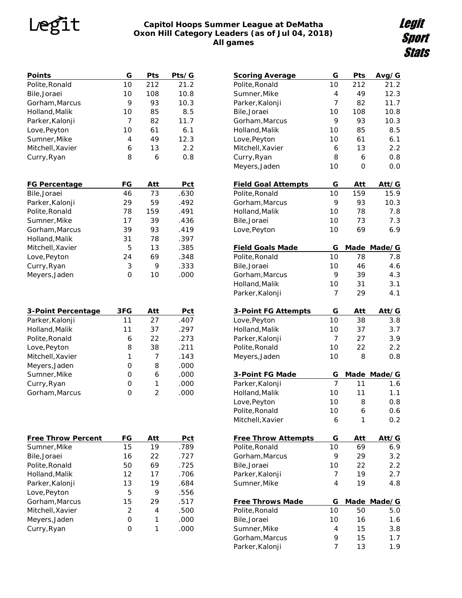# Legit

### **Capitol Hoops Summer League at DeMatha Oxon Hill Category Leaders (as of Jul 04, 2018) All games**

Legit<br>Sport **Stats** 

| Points<br>Polite, Ronald                                                                  | G<br>10                   | Pts<br>212                  | Pts/G<br>21.2                       |  |
|-------------------------------------------------------------------------------------------|---------------------------|-----------------------------|-------------------------------------|--|
| Bile, Joraei                                                                              | 10                        | 108                         | 10.8                                |  |
| Gorham, Marcus                                                                            | 9                         | 93                          | 10.3                                |  |
| Holland, Malik                                                                            | 10                        | 85                          | 8.5                                 |  |
| Parker, Kalonji                                                                           | 7                         | 82                          | 11.7                                |  |
| Love, Peyton                                                                              | 10                        | 61                          | 6.1                                 |  |
| Sumner, Mike                                                                              | 4                         | 49                          | 12.3                                |  |
| Mitchell, Xavier                                                                          | 6                         | 13                          | 2.2                                 |  |
| Curry, Ryan                                                                               | 8                         | 6                           | 0.8                                 |  |
|                                                                                           |                           |                             |                                     |  |
| FG Percentage                                                                             | FG                        | Att                         | Pct                                 |  |
| Bile, Joraei                                                                              | 46                        | 73                          | .630                                |  |
| Parker, Kalonji                                                                           | 29                        | 59                          | .492                                |  |
| Polite, Ronald                                                                            | 78                        | 159                         | .491                                |  |
| Sumner, Mike                                                                              | 17                        | 39                          | .436                                |  |
| Gorham, Marcus                                                                            | 39                        | 93                          | .419                                |  |
| Holland, Malik                                                                            | 31                        | 78                          | .397                                |  |
| Mitchell, Xavier                                                                          | 5                         | 13                          | .385                                |  |
| Love, Peyton                                                                              | 24                        | 69                          | .348                                |  |
| Curry, Ryan                                                                               | 3                         | 9                           | .333                                |  |
| Meyers, Jaden                                                                             | 0                         | 10                          | .000                                |  |
| 3-Point Percentage<br>Parker, Kalonji<br>Holland, Malik<br>Polite, Ronald<br>Love, Peyton | 3FG<br>11<br>11<br>6<br>8 | Att<br>27<br>37<br>22<br>38 | Pct<br>.407<br>.297<br>.273<br>.211 |  |
| Mitchell, Xavier                                                                          | 1                         | 7                           | .143                                |  |
| Meyers, Jaden                                                                             | 0                         | 8                           | .000                                |  |
| Sumner, Mike                                                                              | 0                         | 6                           | .000                                |  |
| Curry, Ryan                                                                               | 0                         | 1                           | .000                                |  |
| Gorham, Marcus                                                                            | 0                         | 2                           | .000                                |  |
|                                                                                           |                           |                             |                                     |  |
| Free Throw Percent                                                                        | FG                        | Att                         | Pct                                 |  |
| Sumner, Mike                                                                              | 15                        | 19                          | .789                                |  |
| Bile, Joraei                                                                              | 16                        | 22                          | .727                                |  |
| Polite, Ronald                                                                            | 50                        | 69                          | .725                                |  |
| Holland, Malik                                                                            | 12                        | 17                          | .706                                |  |
| Parker, Kalonji                                                                           | 13                        | 19                          | .684                                |  |
| Love, Peyton                                                                              | 5                         | 9                           | .556                                |  |
| Gorham, Marcus                                                                            | 15                        | 29                          | .517                                |  |
| Mitchell, Xavier                                                                          | 2                         | 4                           | .500                                |  |
| Meyers,Jaden                                                                              | 0                         | 1                           | .000                                |  |
| Curry, Ryan                                                                               | 0                         | 1                           | .000                                |  |
|                                                                                           |                           |                             |                                     |  |

| <b>Scoring Average</b>     | G  | Pts  | Avg/G  |
|----------------------------|----|------|--------|
| Polite, Ronald             | 10 | 212  | 21.2   |
| Sumner, Mike               | 4  | 49   | 12.3   |
| Parker, Kalonji            | 7  | 82   | 11.7   |
| Bile, Joraei               | 10 | 108  | 10.8   |
| Gorham, Marcus             | 9  | 93   | 10.3   |
| Holland, Malik             | 10 | 85   | 8.5    |
| Love, Peyton               | 10 | 61   | 6.1    |
| Mitchell, Xavier           | 6  | 13   | 2.2    |
| Curry, Ryan                | 8  | 6    | 0.8    |
| Meyers, Jaden              | 10 | 0    | 0.0    |
|                            |    |      |        |
| <b>Field Goal Attempts</b> | G  | Att  | Att/G  |
| Polite, Ronald             | 10 | 159  | 15.9   |
| Gorham, Marcus             | 9  | 93   | 10.3   |
| Holland, Malik             | 10 | 78   | 7.8    |
| Bile, Joraei               | 10 | 73   | 7.3    |
|                            |    |      |        |
| Love, Peyton               | 10 | 69   | 6.9    |
| <b>Field Goals Made</b>    | G  | Made | Made/G |
| Polite, Ronald             | 10 | 78   | 7.8    |
| Bile, Joraei               | 10 | 46   | 4.6    |
| Gorham, Marcus             | 9  | 39   | 4.3    |
| Holland, Malik             | 10 | 31   | 3.1    |
| Parker, Kalonji            | 7  | 29   | 4.1    |
|                            |    |      |        |
| 3-Point FG Attempts        | G  | Att  | Att/G  |
| Love, Peyton               | 10 | 38   | 3.8    |
| Holland, Malik             | 10 | 37   | 3.7    |
| Parker, Kalonji            | 7  | 27   | 3.9    |
| Polite, Ronald             | 10 | 22   | 2.2    |
| Meyers, Jaden              | 10 | 8    | 0.8    |
|                            |    |      |        |
| 3-Point FG Made            | G  | Made | Made/G |
| Parker, Kalonji            | 7  | 11   | 1.6    |
| Holland, Malik             | 10 | 11   | 1.1    |
| Love, Peyton               | 10 | 8    | 0.8    |
| Polite, Ronald             | 10 | 6    | 0.6    |
| Mitchell, Xavier           | 6  | 1    | 0.2    |
|                            |    |      |        |
| <b>Free Throw Attempts</b> | G  | Att  | Att/G  |
| Polite, Ronald             | 10 | 69   | 6.9    |
| Gorham, Marcus             | 9  | 29   | 3.2    |
| Bile, Joraei               | 10 | 22   | 2.2    |
| Parker, Kalonji            | 7  | 19   | 2.7    |
| Sumner, Mike               | 4  | 19   | 4.8    |
|                            |    |      |        |
| <b>Free Throws Made</b>    | G  | Made | Made/G |
| Polite, Ronald             | 10 | 50   | 5.0    |
| Bile, Joraei               | 10 | 16   | 1.6    |
| Sumner, Mike               | 4  | 15   | 3.8    |
| Gorham, Marcus             | 9  | 15   | 1.7    |
| Parker, Kalonji            | 7  | 13   | 1.9    |
|                            |    |      |        |